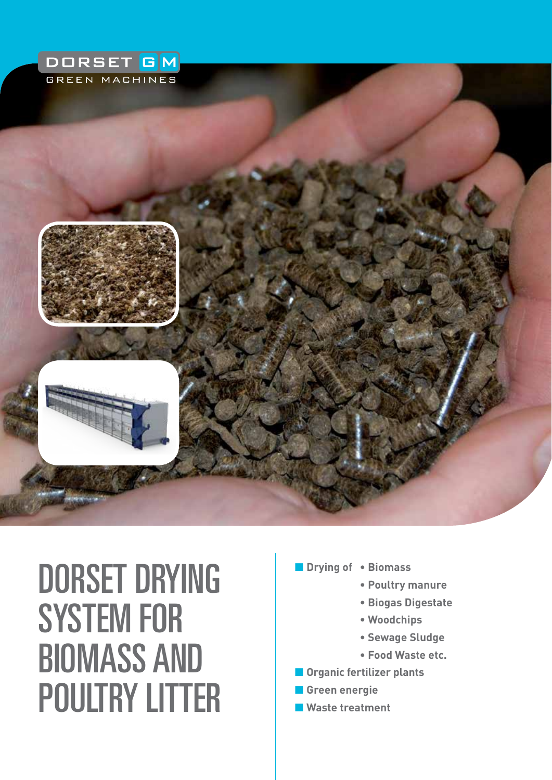

# Dorset drying system for biomass AND poultry litter

- Drying of Biomass
	- **Poultry manure**
	- **Biogas Digestate**
	- **Woodchips**
	- **Sewage Sludge**
	- **Food Waste etc.**
- **n** Organic fertilizer plants
- **n** Green energie
- n **Waste treatment**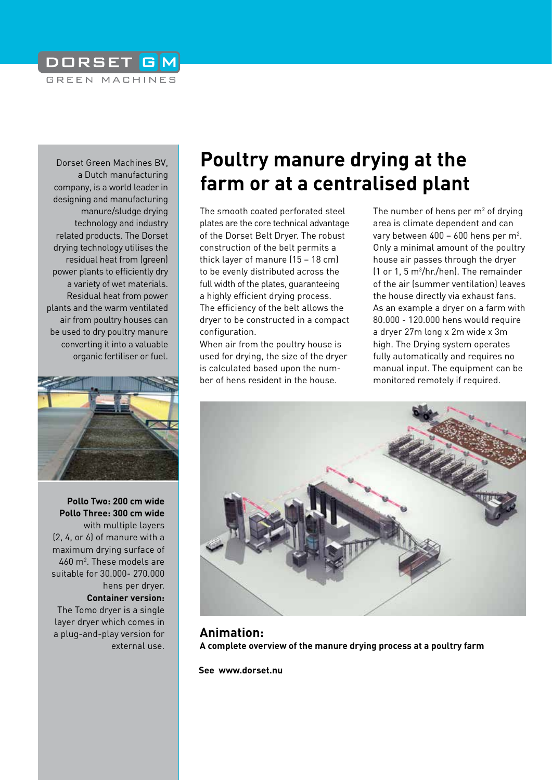

Dorset Green Machines BV, a Dutch manufacturing company, is a world leader in designing and manufacturing manure/sludge drying technology and industry related products. The Dorset drying technology utilises the residual heat from (green) power plants to efficiently dry a variety of wet materials. Residual heat from power plants and the warm ventilated air from poultry houses can be used to dry poultry manure converting it into a valuable organic fertiliser or fuel.



**Pollo Two: 200 cm wide Pollo Three: 300 cm wide** with multiple layers (2, 4, or 6) of manure with a maximum drying surface of 460 m2 . These models are suitable for 30.000- 270.000 hens per dryer. **Container version:**  The Tomo dryer is a single layer dryer which comes in a plug-and-play version for external use.

# **Poultry manure drying at the farm or at a centralised plant**

The smooth coated perforated steel plates are the core technical advantage of the Dorset Belt Dryer. The robust construction of the belt permits a thick layer of manure (15 – 18 cm) to be evenly distributed across the full width of the plates, guaranteeing a highly efficient drying process. The efficiency of the belt allows the dryer to be constructed in a compact configuration.

When air from the poultry house is used for drying, the size of the dryer is calculated based upon the number of hens resident in the house.

The number of hens per  $m<sup>2</sup>$  of drying area is climate dependent and can vary between 400 - 600 hens per m<sup>2</sup>. Only a minimal amount of the poultry house air passes through the dryer (1 or 1, 5 m3 /hr./hen). The remainder of the air (summer ventilation) leaves the house directly via exhaust fans. As an example a dryer on a farm with 80.000 - 120.000 hens would require a dryer 27m long x 2m wide x 3m high. The Drying system operates fully automatically and requires no manual input. The equipment can be monitored remotely if required.



**Animation: A complete overview of the manure drying process at a poultry farm**

**See www.dorset.nu**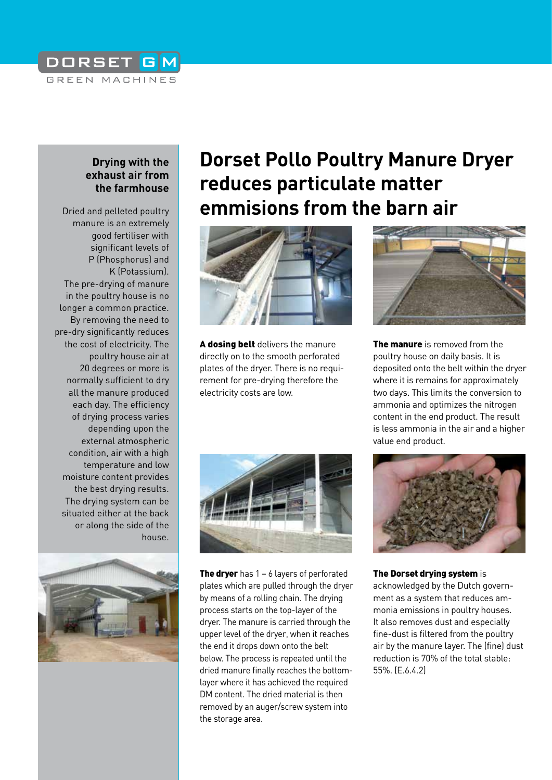### DORSET GM GREEN MACHINES

### **Drying with the exhaust air from the farmhouse**

Dried and pelleted poultry manure is an extremely good fertiliser with significant levels of P (Phosphorus) and K (Potassium). The pre-drying of manure in the poultry house is no longer a common practice. By removing the need to pre-dry significantly reduces the cost of electricity. The poultry house air at 20 degrees or more is normally sufficient to dry all the manure produced each day. The efficiency of drying process varies depending upon the external atmospheric condition, air with a high temperature and low moisture content provides the best drying results. The drying system can be situated either at the back or along the side of the house.



## **Dorset Pollo Poultry Manure Dryer reduces particulate matter emmisions from the barn air**



A dosing belt delivers the manure directly on to the smooth perforated plates of the dryer. There is no requirement for pre-drying therefore the electricity costs are low.



The manure is removed from the poultry house on daily basis. It is deposited onto the belt within the dryer where it is remains for approximately two days. This limits the conversion to ammonia and optimizes the nitrogen content in the end product. The result is less ammonia in the air and a higher value end product.



The dryer has  $1 - 6$  layers of perforated plates which are pulled through the dryer by means of a rolling chain. The drying process starts on the top-layer of the dryer. The manure is carried through the upper level of the dryer, when it reaches the end it drops down onto the belt below. The process is repeated until the dried manure finally reaches the bottomlayer where it has achieved the required DM content. The dried material is then removed by an auger/screw system into the storage area.



The Dorset drying system is acknowledged by the Dutch government as a system that reduces ammonia emissions in poultry houses. It also removes dust and especially fine-dust is filtered from the poultry air by the manure layer. The (fine) dust reduction is 70% of the total stable: 55%. (E.6.4.2)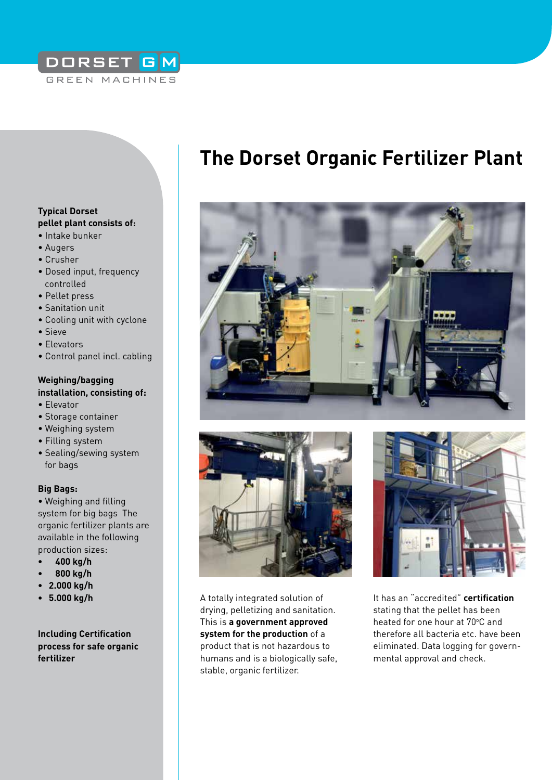### DORSET GM GREEN MACHINES

#### **Typical Dorset pellet plant consists of:**

- Intake bunker
- Augers
- Crusher
- Dosed input, frequency controlled
- Pellet press
- Sanitation unit
- Cooling unit with cyclone
- Sieve
- Elevators
- Control panel incl. cabling

#### **Weighing/bagging installation, consisting of:**

- Elevator
- Storage container
- Weighing system
- Filling system
- Sealing/sewing system for bags

#### **Big Bags:**

• Weighing and filling system for big bags The organic fertilizer plants are available in the following production sizes:

- **400 kg/h**
- **800 kg/h**
- **2.000 kg/h**
- **5.000 kg/h**

**Including Certification process for safe organic fertilizer**

# **The Dorset Organic Fertilizer Plant**





A totally integrated solution of drying, pelletizing and sanitation. This is **a government approved system for the production** of a product that is not hazardous to humans and is a biologically safe, stable, organic fertilizer.



It has an "accredited" **certification** stating that the pellet has been heated for one hour at 70°C and therefore all bacteria etc. have been eliminated. Data logging for governmental approval and check.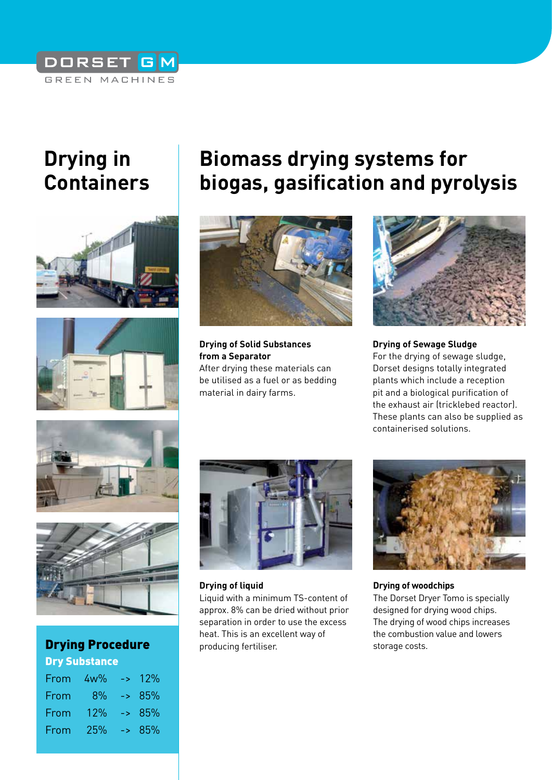### DORSET GM GREEN MACHINES

# **Drying in Containers**





# **Biomass drying systems for biogas, gasification and pyrolysis**



**Drying of Solid Substances from a Separator** After drying these materials can be utilised as a fuel or as bedding material in dairy farms.



#### **Drying of Sewage Sludge** For the drying of sewage sludge, Dorset designs totally integrated plants which include a reception pit and a biological purification of the exhaust air (tricklebed reactor). These plants can also be supplied as containerised solutions.





Dry Substance

| From | $4w\%$ | $\sim 12\%$ |
|------|--------|-------------|
| From | 8%     | $-85%$      |
| From | 12%    | $-85%$      |
| From | 25%    | $-285%$     |
|      |        |             |



**Drying of liquid** 

Liquid with a minimum TS-content of approx. 8% can be dried without prior separation in order to use the excess heat. This is an excellent way of producing fertiliser. **Drying Procedure State of the Procedure** of the producing fertiliser.



**Drying of woodchips** The Dorset Dryer Tomo is specially designed for drying wood chips. The drying of wood chips increases the combustion value and lowers